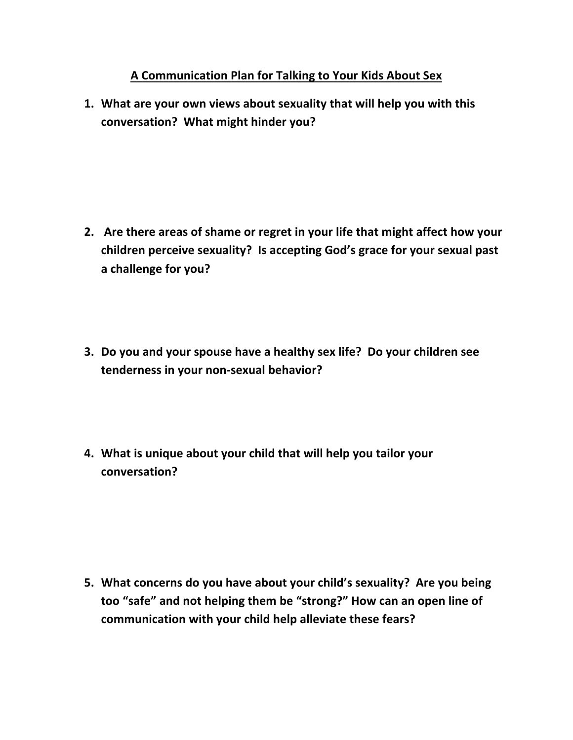## **A Communication Plan for Talking to Your Kids About Sex**

**1. What are your own views about sexuality that will help you with this conversation? What might hinder you?**

- **2. Are there areas of shame or regret in your life that might affect how your children perceive sexuality? Is accepting God's grace for your sexual past a challenge for you?**
- **3. Do you and your spouse have a healthy sex life? Do your children see tenderness in your non-sexual behavior?**
- **4. What is unique about your child that will help you tailor your conversation?**

**5. What concerns do you have about your child's sexuality? Are you being too "safe" and not helping them be "strong?" How can an open line of communication with your child help alleviate these fears?**